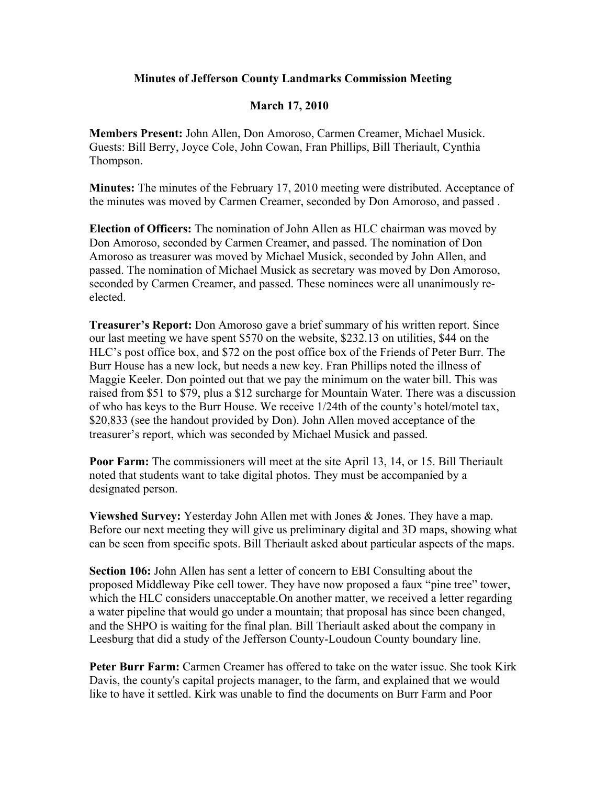## **Minutes of Jefferson County Landmarks Commission Meeting**

## **March 17, 2010**

**Members Present:** John Allen, Don Amoroso, Carmen Creamer, Michael Musick. Guests: Bill Berry, Joyce Cole, John Cowan, Fran Phillips, Bill Theriault, Cynthia Thompson.

**Minutes:** The minutes of the February 17, 2010 meeting were distributed. Acceptance of the minutes was moved by Carmen Creamer, seconded by Don Amoroso, and passed .

**Election of Officers:** The nomination of John Allen as HLC chairman was moved by Don Amoroso, seconded by Carmen Creamer, and passed. The nomination of Don Amoroso as treasurer was moved by Michael Musick, seconded by John Allen, and passed. The nomination of Michael Musick as secretary was moved by Don Amoroso, seconded by Carmen Creamer, and passed. These nominees were all unanimously reelected.

**Treasurer's Report:** Don Amoroso gave a brief summary of his written report. Since our last meeting we have spent \$570 on the website, \$232.13 on utilities, \$44 on the HLC's post office box, and \$72 on the post office box of the Friends of Peter Burr. The Burr House has a new lock, but needs a new key. Fran Phillips noted the illness of Maggie Keeler. Don pointed out that we pay the minimum on the water bill. This was raised from \$51 to \$79, plus a \$12 surcharge for Mountain Water. There was a discussion of who has keys to the Burr House. We receive 1/24th of the county's hotel/motel tax, \$20,833 (see the handout provided by Don). John Allen moved acceptance of the treasurer's report, which was seconded by Michael Musick and passed.

**Poor Farm:** The commissioners will meet at the site April 13, 14, or 15. Bill Theriault noted that students want to take digital photos. They must be accompanied by a designated person.

**Viewshed Survey:** Yesterday John Allen met with Jones & Jones. They have a map. Before our next meeting they will give us preliminary digital and 3D maps, showing what can be seen from specific spots. Bill Theriault asked about particular aspects of the maps.

**Section 106:** John Allen has sent a letter of concern to EBI Consulting about the proposed Middleway Pike cell tower. They have now proposed a faux "pine tree" tower, which the HLC considers unacceptable. On another matter, we received a letter regarding a water pipeline that would go under a mountain; that proposal has since been changed, and the SHPO is waiting for the final plan. Bill Theriault asked about the company in Leesburg that did a study of the Jefferson County-Loudoun County boundary line.

**Peter Burr Farm:** Carmen Creamer has offered to take on the water issue. She took Kirk Davis, the county's capital projects manager, to the farm, and explained that we would like to have it settled. Kirk was unable to find the documents on Burr Farm and Poor